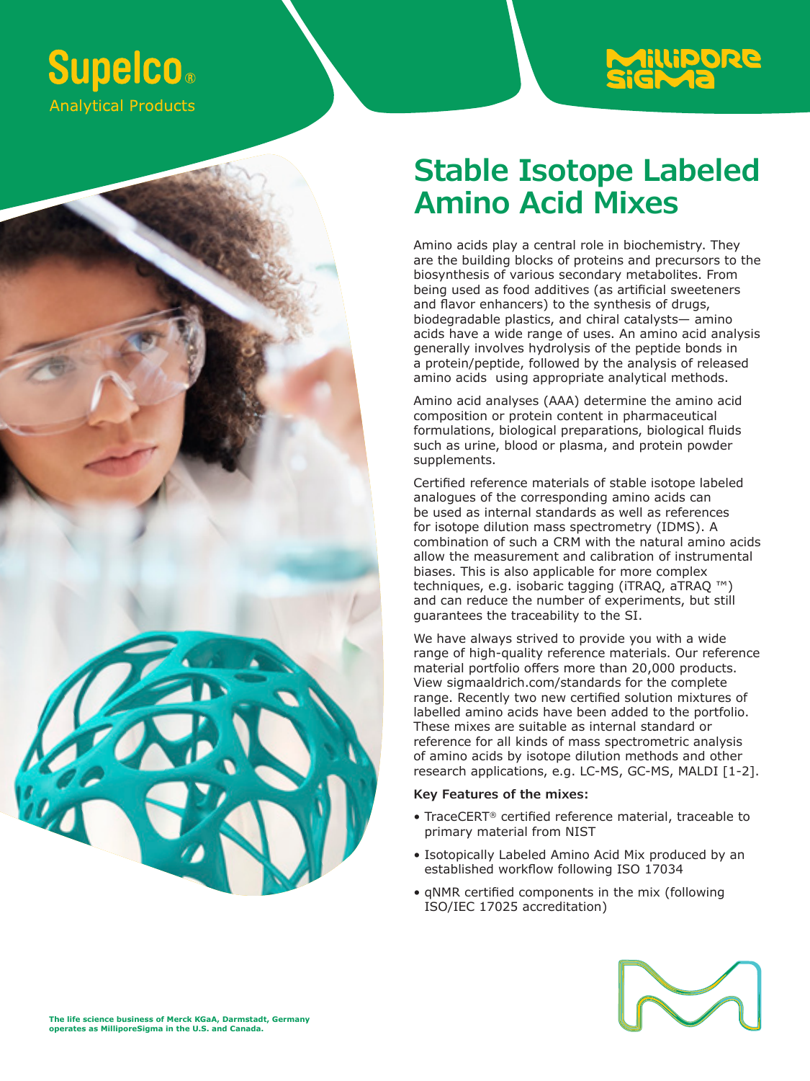



**Stable Isotope Labeled Amino Acid Mixes**

Amino acids play a central role in biochemistry. They are the building blocks of proteins and precursors to the biosynthesis of various secondary metabolites. From being used as food additives (as artificial sweeteners and flavor enhancers) to the synthesis of drugs, biodegradable plastics, and chiral catalysts— amino acids have a wide range of uses. An amino acid analysis generally involves hydrolysis of the peptide bonds in a protein/peptide, followed by the analysis of released amino acids using appropriate analytical methods.

Amino acid analyses (AAA) determine the amino acid composition or protein content in pharmaceutical formulations, biological preparations, biological fluids such as urine, blood or plasma, and protein powder supplements.

Certified reference materials of stable isotope labeled analogues of the corresponding amino acids can be used as internal standards as well as references for isotope dilution mass spectrometry (IDMS). A combination of such a CRM with the natural amino acids allow the measurement and calibration of instrumental biases. This is also applicable for more complex techniques, e.g. isobaric tagging (iTRAQ, aTRAQ ™) and can reduce the number of experiments, but still guarantees the traceability to the SI.

We have always strived to provide you with a wide range of high-quality reference materials. Our reference material portfolio offers more than 20,000 products. View sigmaaldrich.com/standards for the complete range. Recently two new certified solution mixtures of labelled amino acids have been added to the portfolio. These mixes are suitable as internal standard or reference for all kinds of mass spectrometric analysis of amino acids by isotope dilution methods and other research applications, e.g. LC-MS, GC-MS, MALDI [1-2].

## **Key Features of the mixes:**

- TraceCERT® certified reference material, traceable to primary material from NIST
- Isotopically Labeled Amino Acid Mix produced by an established workflow following ISO 17034
- qNMR certified components in the mix (following ISO/IEC 17025 accreditation)